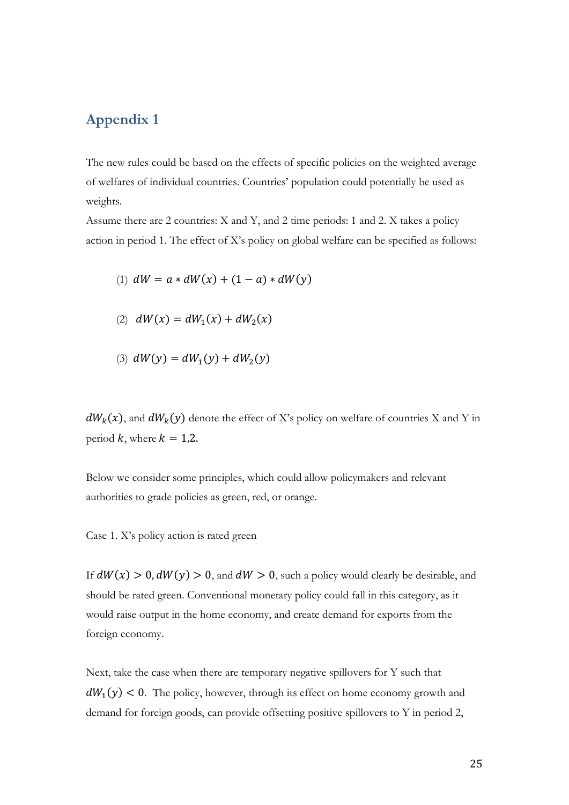## **Appendix 1**

The new rules could be based on the effects of specific policies on the weighted average of welfares of individual countries. Countries' population could potentially be used as weights.

Assume there are 2 countries: X and Y, and 2 time periods: 1 and 2. X takes a policy action in period 1. The effect of X's policy on global welfare can be specified as follows:

(1) 
$$
dW = a * dW(x) + (1 - a) * dW(y)
$$

- (2)  $dW(x) = dW_1(x) + dW_2(x)$
- (3)  $dW(y) = dW_1(y) + dW_2(y)$

 $dW_k(x)$ , and  $dW_k(y)$  denote the effect of X's policy on welfare of countries X and Y in period k, where  $k = 1,2$ .

Below we consider some principles, which could allow policymakers and relevant authorities to grade policies as green, red, or orange.

Case 1. X's policy action is rated green

If  $dW(x) > 0$ ,  $dW(y) > 0$ , and  $dW > 0$ , such a policy would clearly be desirable, and should be rated green. Conventional monetary policy could fall in this category, as it would raise output in the home economy, and create demand for exports from the foreign economy.

Next, take the case when there are temporary negative spillovers for Y such that  $dW_1(y) < 0$ . The policy, however, through its effect on home economy growth and demand for foreign goods, can provide offsetting positive spillovers to Y in period 2,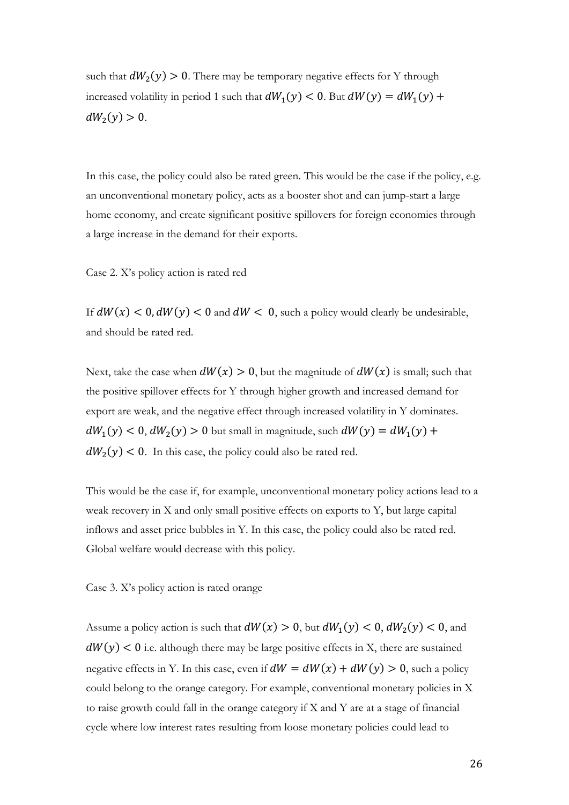such that  $dW_2(y) > 0$ . There may be temporary negative effects for Y through increased volatility in period 1 such that  $dW_1(y) < 0$ . But  $dW(y) = dW_1(y) +$  $dW_2(y) > 0.$ 

In this case, the policy could also be rated green. This would be the case if the policy, e.g. an unconventional monetary policy, acts as a booster shot and can jump-start a large home economy, and create significant positive spillovers for foreign economies through a large increase in the demand for their exports.

Case 2. X's policy action is rated red

If  $dW(x) < 0$ ,  $dW(y) < 0$  and  $dW < 0$ , such a policy would clearly be undesirable, and should be rated red.

Next, take the case when  $dW(x) > 0$ , but the magnitude of  $dW(x)$  is small; such that the positive spillover effects for Y through higher growth and increased demand for export are weak, and the negative effect through increased volatility in Y dominates.  $dW_1(y) < 0, dW_2(y) > 0$  but small in magnitude, such  $dW(y) = dW_1(y) +$  $dW_2(y) < 0$ . In this case, the policy could also be rated red.

This would be the case if, for example, unconventional monetary policy actions lead to a weak recovery in X and only small positive effects on exports to Y, but large capital inflows and asset price bubbles in Y. In this case, the policy could also be rated red. Global welfare would decrease with this policy.

Case 3. X's policy action is rated orange

Assume a policy action is such that  $dW(x) > 0$ , but  $dW_1(y) < 0$ ,  $dW_2(y) < 0$ , and  $dW(y) < 0$  i.e. although there may be large positive effects in X, there are sustained negative effects in Y. In this case, even if  $dW = dW(x) + dW(y) > 0$ , such a policy could belong to the orange category. For example, conventional monetary policies in X to raise growth could fall in the orange category if X and Y are at a stage of financial cycle where low interest rates resulting from loose monetary policies could lead to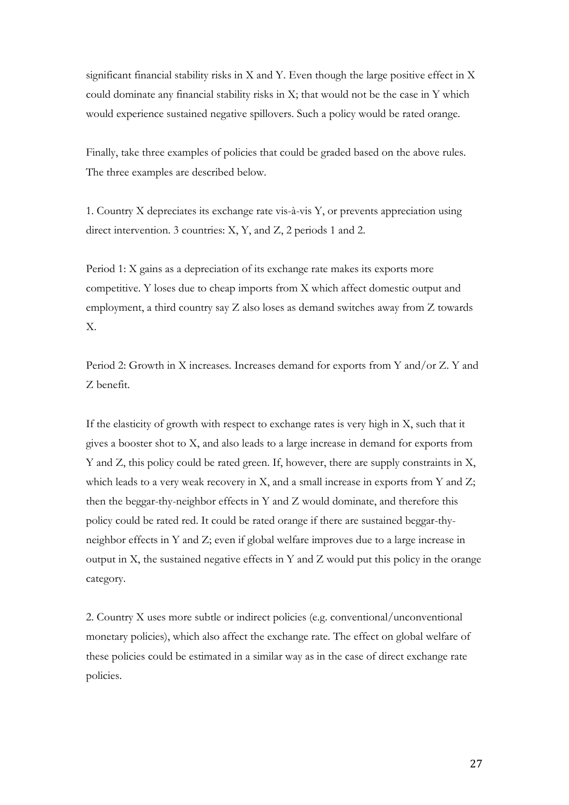significant financial stability risks in X and Y. Even though the large positive effect in X could dominate any financial stability risks in X; that would not be the case in Y which would experience sustained negative spillovers. Such a policy would be rated orange.

Finally, take three examples of policies that could be graded based on the above rules. The three examples are described below.

1. Country X depreciates its exchange rate vis-à-vis Y, or prevents appreciation using direct intervention. 3 countries: X, Y, and Z, 2 periods 1 and 2.

Period 1: X gains as a depreciation of its exchange rate makes its exports more competitive. Y loses due to cheap imports from X which affect domestic output and employment, a third country say Z also loses as demand switches away from Z towards X.

Period 2: Growth in X increases. Increases demand for exports from Y and/or Z. Y and Z benefit.

If the elasticity of growth with respect to exchange rates is very high in X, such that it gives a booster shot to X, and also leads to a large increase in demand for exports from Y and Z, this policy could be rated green. If, however, there are supply constraints in X, which leads to a very weak recovery in X, and a small increase in exports from Y and Z; then the beggar-thy-neighbor effects in Y and Z would dominate, and therefore this policy could be rated red. It could be rated orange if there are sustained beggar-thyneighbor effects in Y and Z; even if global welfare improves due to a large increase in output in X, the sustained negative effects in Y and Z would put this policy in the orange category.

2. Country X uses more subtle or indirect policies (e.g. conventional/unconventional monetary policies), which also affect the exchange rate. The effect on global welfare of these policies could be estimated in a similar way as in the case of direct exchange rate policies.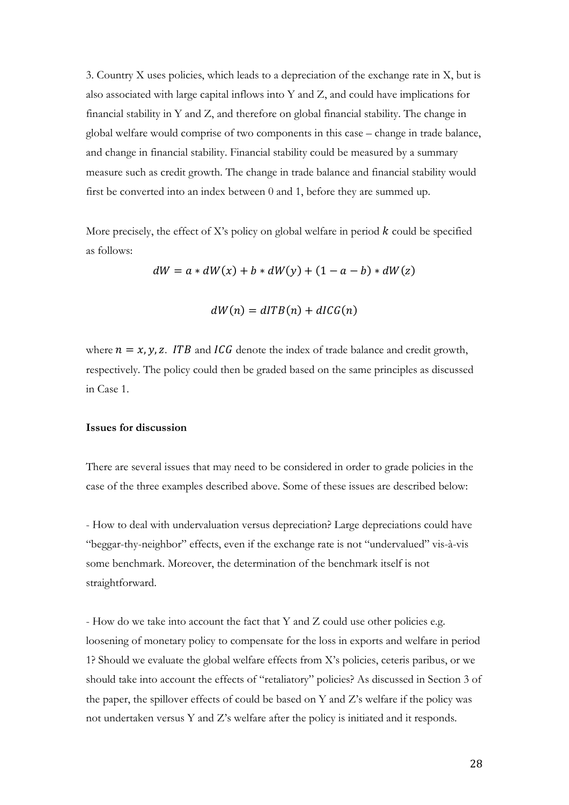3. Country X uses policies, which leads to a depreciation of the exchange rate in X, but is also associated with large capital inflows into Y and Z, and could have implications for financial stability in Y and Z, and therefore on global financial stability. The change in global welfare would comprise of two components in this case – change in trade balance, and change in financial stability. Financial stability could be measured by a summary measure such as credit growth. The change in trade balance and financial stability would first be converted into an index between 0 and 1, before they are summed up.

More precisely, the effect of X's policy on global welfare in period  $k$  could be specified as follows:

 $dW = a * dW(x) + b * dW(y) + (1 - a - b) * dW(z)$ 

$$
dW(n) = dITB(n) + dIGG(n)
$$

where  $n = x$ , y, z. ITB and ICG denote the index of trade balance and credit growth, respectively. The policy could then be graded based on the same principles as discussed in Case 1.

## **Issues for discussion**

There are several issues that may need to be considered in order to grade policies in the case of the three examples described above. Some of these issues are described below:

- How to deal with undervaluation versus depreciation? Large depreciations could have "beggar-thy-neighbor" effects, even if the exchange rate is not "undervalued" vis-à-vis some benchmark. Moreover, the determination of the benchmark itself is not straightforward.

- How do we take into account the fact that Y and Z could use other policies e.g. loosening of monetary policy to compensate for the loss in exports and welfare in period 1? Should we evaluate the global welfare effects from X's policies, ceteris paribus, or we should take into account the effects of "retaliatory" policies? As discussed in Section 3 of the paper, the spillover effects of could be based on Y and Z's welfare if the policy was not undertaken versus Y and Z's welfare after the policy is initiated and it responds.